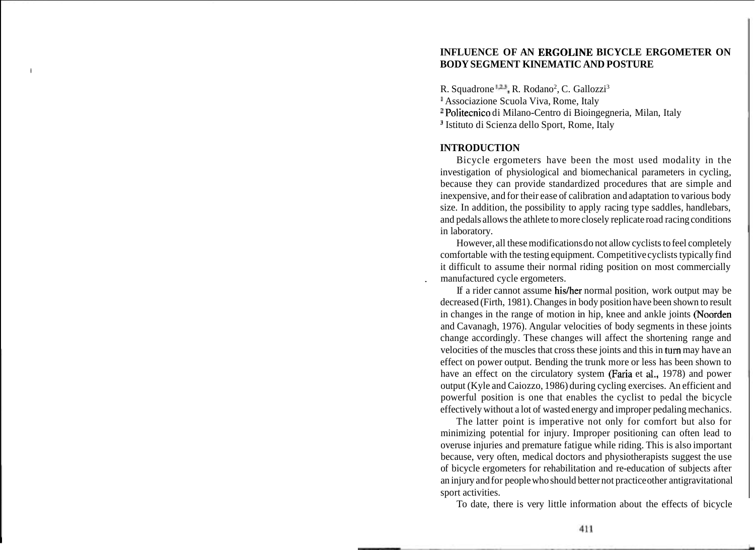# **INFLUENCE OF AN ERGOLINE BICYCLE ERGOMETER ON BODY SEGMENT KINEMATIC AND POSTURE**

R. Squadrone <sup>123</sup>, R. Rodano<sup>2</sup>, C. Gallozzi<sup>3</sup> Associazione Scuola Viva, Rome, Italy Politecnico di Milano-Centro di Bioingegneria, Milan, Italy <sup>3</sup> Istituto di Scienza dello Sport, Rome, Italy

## **INTRODUCTION**

Bicycle ergometers have been the most used modality in the investigation of physiological and biomechanical parameters in cycling, because they can provide standardized procedures that are simple and inexpensive, and for their ease of calibration and adaptation to various body size. In addition, the possibility to apply racing type saddles, handlebars, and pedals allows the athlete to more closely replicate road racing conditions in laboratory.

However, all these modifications do not allow cyclists to feel completely comfortable with the testing equipment. Competitive cyclists typically find it difficult to assume their normal riding position on most commercially , manufactured cycle ergometers.

If a rider cannot assume his/her normal position, work output may be decreased (Firth, 1981). Changes in body position have been shown to result in changes in the range of motion in hip, knee and ankle joints (Noorden and Cavanagh, 1976). Angular velocities of body segments in these joints change accordingly. These changes will affect the shortening range and velocities of the muscles that cross these joints and this in **turn** may have an effect on power output. Bending the trunk more or less has been shown to have an effect on the circulatory system (Faria et **id.,** 1978) and power output (Kyle and Caiozzo, 1986) during cycling exercises. An efficient and powerful position is one that enables the cyclist to pedal the bicycle effectively without a lot of wasted energy and improper pedaling mechanics.

The latter point is imperative not only for comfort but also for minimizing potential for injury. Improper positioning can often lead to overuse injuries and premature fatigue while riding. This is also important because, very often, medical doctors and physiotherapists suggest the use of bicycle ergometers for rehabilitation and re-education of subjects after an injury and for people who should better not practice other antigravitational sport activities.

To date, there is very little information about the effects of bicycle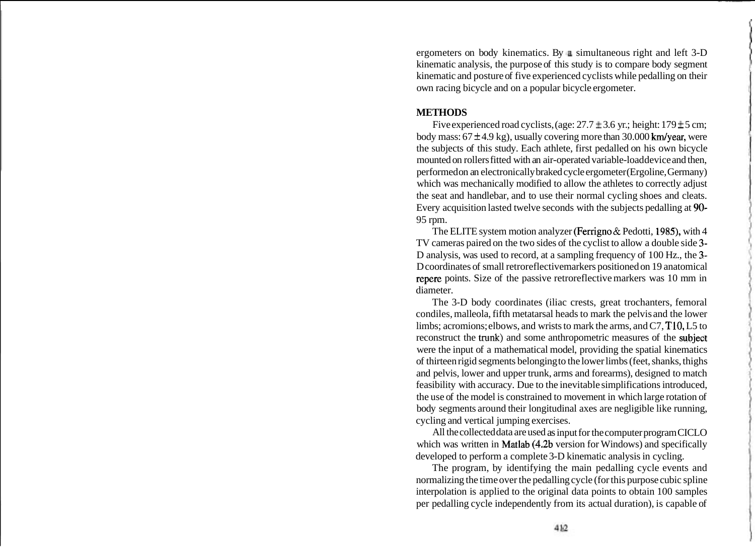ergometers on body kinematics. By  $\upmu$  simultaneous right and left 3-D kinematic analysis, the purpose of this study is to compare body segment kinematic and posture of five experienced cyclists while pedalling on their own racing bicycle and on a popular bicycle ergometer.

### **METHODS**

Five experienced road cyclists, (age:  $27.7 \pm 3.6$  yr.; height:  $179 \pm 5$  cm; body mass:  $67 \pm 4.9$  kg), usually covering more than 30.000 km/year, were the subjects of this study. Each athlete, first pedalled on his own bicycle mounted on rollers fitted with an air-operated variable-load device and then, performed on an electronically braked cycle ergometer (Ergoline, Germany) which was mechanically modified to allow the athletes to correctly adjust the seat and handlebar, and to use their normal cycling shoes and cleats. Every acquisition lasted twelve seconds with the subjects pedalling at 90- 95 rpm.

The ELITE system motion analyzer (Ferrigno & Pedotti, 1985), with 4 TV cameras paired on the two sides of the cyclist to allow a double side 3- D analysis, was used to record, at a sampling frequency of 100 Hz., the 3- D coordinates of small retroreflective markers positioned on 19 anatomical repere points. Size of the passive retroreflective markers was 10 mm in diameter.

The 3-D body coordinates (iliac crests, great trochanters, femoral condiles, malleola, fifth metatarsal heads to mark the pelvis and the lower limbs; acromions; elbows, and wrists to mark the arms, and C7, TlO, L5 to reconstruct the **trunk)** and some anthropometric measures of the subjeot were the input of a mathematical model, providing the spatial kinematics of thirteen rigid segments belonging to the lower limbs (feet, shanks, thighs and pelvis, lower and upper trunk, arms and forearms), designed to match feasibility with accuracy. Due to the inevitable simplifications introduced, the use of the model is constrained to movement in which large rotation of body segments around their longitudinal axes are negligible like running, cycling and vertical jumping exercises.

All the collected data are used as input for the computer program CICLO which was written in **Matlab** (4.2b version for Windows) and specifically developed to perform a complete 3-D kinematic analysis in cycling.

The program, by identifying the main pedalling cycle events and normalizing the time over the pedalling cycle (for this purpose cubic spline interpolation is applied to the original data points to obtain 100 samples per pedalling cycle independently from its actual duration), is capable of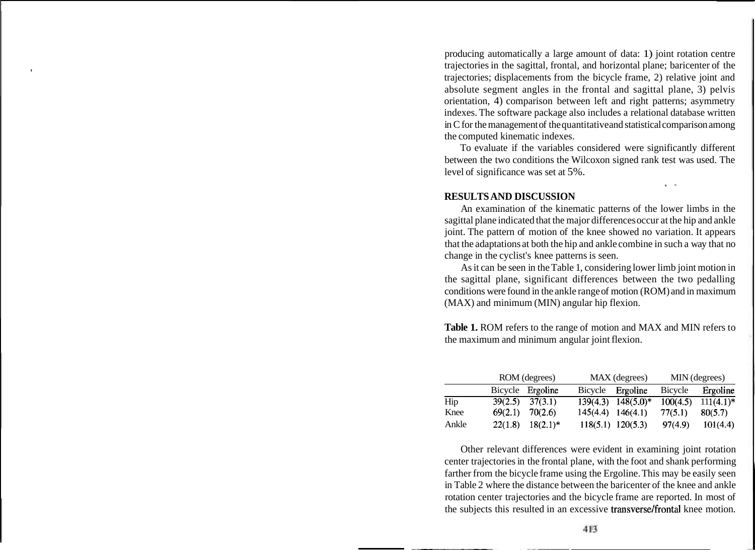producing automatically a large amount of data: 1) joint rotation centre trajectories in the sagittal, frontal, and horizontal plane; baricenter of the trajectories; displacements from the bicycle frame, 2) relative joint and absolute segment angles in the frontal and sagittal plane, 3) pelvis orientation, 4) comparison between left and right patterns; asymmetry indexes. The software package also includes a relational database written in C for the management of the quantitative and statistical comparison among the computed kinematic indexes.

To evaluate if the variables considered were significantly different between the two conditions the Wilcoxon signed rank test was used. The level of significance was set at 5%.

5 -

### **RESULTS AND DISCUSSION**

An examination of the kinematic patterns of the lower limbs in the sagittal plane indicated that the major differences occur at the hip and ankle joint. The pattern of motion of the knee showed no variation. It appears that the adaptations at both the hip and ankle combine in such a way that no change in the cyclist's knee patterns is seen.

As it can be seen in the Table 1, considering lower limb joint motion in the sagittal plane, significant differences between the two pedalling conditions were found in the ankle range of motion (ROM) and in maximum (MAX) and minimum (MIN) angular hip flexion.

**Table 1.** ROM refers to the range of motion and MAX and MIN refers to the maximum and minimum angular joint flexion.

|       | ROM (degrees) |                  | MAX (degrees)         |                        | MIN (degrees) |              |
|-------|---------------|------------------|-----------------------|------------------------|---------------|--------------|
|       |               | Bicycle Ergoline | Bicycle               | Ergoline               | Bicycle       | Ergoline     |
| Hip   | 39(2.5)       | 37(3.1)          |                       | $139(4.3)$ $148(5.0)*$ | 100(4.5)      | $111(4.1)$ * |
| Knee  | 69(2.1)       | 70(2.6)          | $145(4.4)$ $146(4.1)$ |                        | 77(5.1)       | 80(5.7)      |
| Ankle | 22(1.8)       | $18(2.1)^*$      |                       | $118(5.1)$ 120(5.3)    | 97(4.9)       | 101(4.4)     |

Other relevant differences were evident in examining joint rotation center trajectories in the frontal plane, with the foot and shank performing farther from the bicycle frame using the Ergoline. This may be easily seen in Table 2 where the distance between the baricenter of the knee and ankle rotation center trajectories and the bicycle frame are reported. In most of the subjects this resulted in an excessive transverse/frontal knee motion.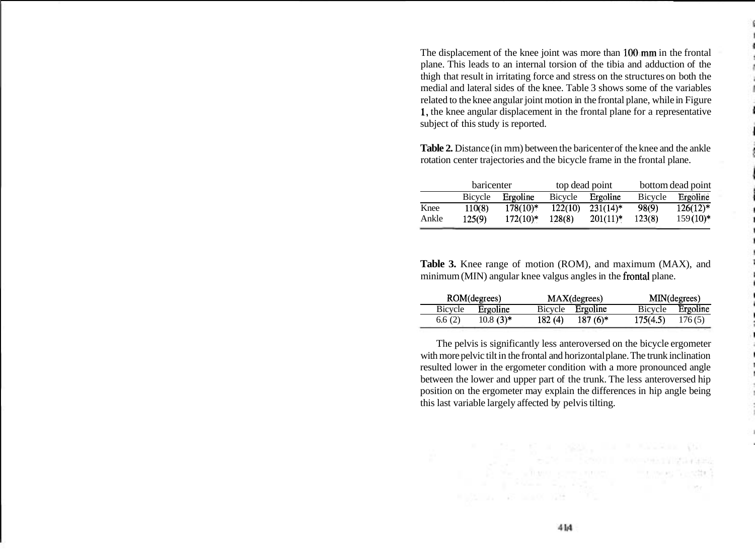The displacement of the knee joint was more than 100,mm in the frontal plane. This leads to an internal torsion of the tibia and adduction of the thigh that result in irritating force and stress on the structures on both the medial and lateral sides of the knee. Table 3 shows some of the variables related to the knee angular joint motion in the frontal plane, while in Figure 1, the knee angular displacement in the frontal plane for a representative subject of this study is reported.

**Table 2.** Distance (in mm) between the baricenter of the knee and the ankle rotation center trajectories and the bicycle frame in the frontal plane.

|       | <b>baricenter</b> |            | top dead point |             | bottom dead point |             |
|-------|-------------------|------------|----------------|-------------|-------------------|-------------|
|       | Bicycle           | Ergoline   | Bicycle        | Ergoline    | <b>Bicycle</b>    | Ergoline    |
| Knee  | 110(8)            | $178(10)*$ | 122(10)        | $231(14)^*$ | 98(9)             | $126(12)^*$ |
| Ankle | 125(9)            | $172(10)*$ | 128(8)         | $201(11)*$  | 123(8)            | $159(10)*$  |

**Table 3.** Knee range of motion (ROM), and maximum (MAX), and minimum (MIN) angular knee valgus angles in the frontal plane.

| ROM(degrees) |             |         | MAX(degrees) |          | MIN(degrees) |  |
|--------------|-------------|---------|--------------|----------|--------------|--|
| Bicycle      | Ergoline    | Bicycle | Ergoline     | Bicycle  | Ergoline     |  |
| 6.6(2)       | $10.8(3)$ * | 182(4)  | $187(6)$ *   | 175(4.5) | 176(5)       |  |

The pelvis is significantly less anteroversed on the bicycle ergometer with more pelvic tilt in the frontal and horizontal plane. The trunk inclination resulted lower in the ergometer condition with a more pronounced angle between the lower and upper part of the trunk. The less anteroversed hip position on the ergometer may explain the differences in hip angle being this last variable largely affected by pelvis tilting.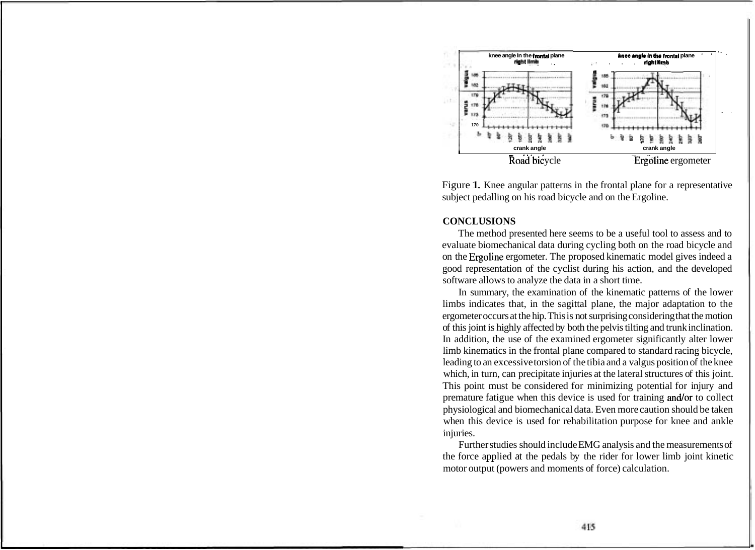

Figure 1. Knee angular patterns in the frontal plane for a representative subject pedalling on his road bicycle and on the Ergoline.

#### **CONCLUSIONS**

The method presented here seems to be a useful tool to assess and to evaluate biomechanical data during cycling both on the road bicycle and on the Ergoline ergometer. The proposed kinematic model gives indeed a good representation of the cyclist during his action, and the developed software allows to analyze the data in a short time.

In summary, the examination of the kinematic patterns of the lower limbs indicates that, in the sagittal plane, the major adaptation to the ergometer occurs at the hip. This is not surprising considering that the motion of this joint is highly affected by both the pelvis tilting and trunk inclination. In addition, the use of the examined ergometer significantly alter lower limb kinematics in the frontal plane compared to standard racing bicycle, leading to an excessive torsion of the tibia and a valgus position of the knee which, in turn, can precipitate injuries at the lateral structures of this joint. This point must be considered for minimizing potential for injury and premature fatigue when this device is used for training and/or to collect physiological and biomechanical data. Even more caution should be taken when this device is used for rehabilitation purpose for knee and ankle injuries.

Further studies should include EMG analysis and the measurements of the force applied at the pedals by the rider for lower limb joint kinetic motor output (powers and moments of force) calculation.